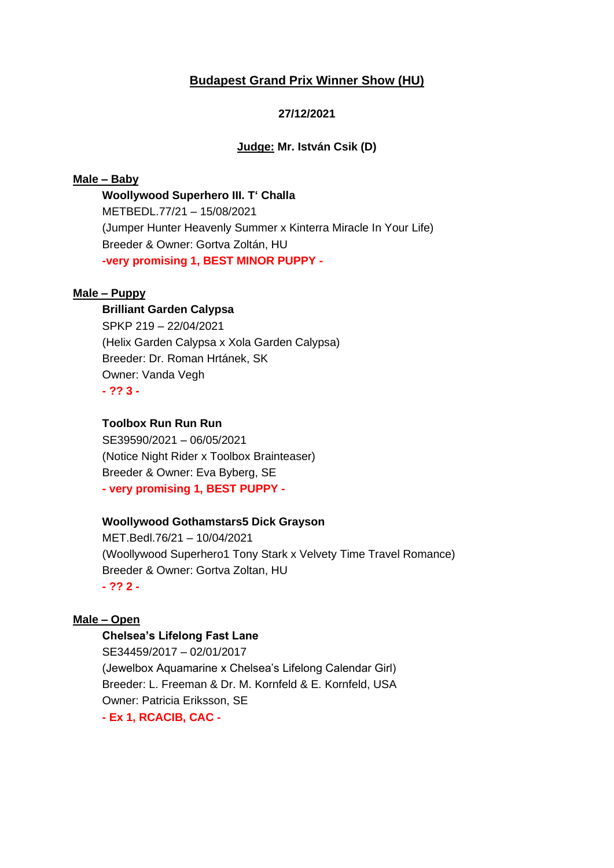# **Budapest Grand Prix Winner Show (HU)**

# **27/12/2021**

#### **Judge: Mr. István Csik (D)**

## **Male – Baby**

**Woollywood Superhero III. T' Challa** METBEDL.77/21 – 15/08/2021 (Jumper Hunter Heavenly Summer x Kinterra Miracle In Your Life) Breeder & Owner: Gortva Zoltán, HU **-very promising 1, BEST MINOR PUPPY -**

### **Male – Puppy**

# **Brilliant Garden Calypsa**

SPKP 219 – 22/04/2021 (Helix Garden Calypsa x Xola Garden Calypsa) Breeder: Dr. Roman Hrtánek, SK Owner: Vanda Vegh **- ?? 3 -**

# **Toolbox Run Run Run**

SE39590/2021 – 06/05/2021 (Notice Night Rider x Toolbox Brainteaser) Breeder & Owner: Eva Byberg, SE **- very promising 1, BEST PUPPY -**

#### **Woollywood Gothamstars5 Dick Grayson**

MET.Bedl.76/21 – 10/04/2021 (Woollywood Superhero1 Tony Stark x Velvety Time Travel Romance) Breeder & Owner: Gortva Zoltan, HU **- ?? 2 -**

#### **Male – Open**

## **Chelsea's Lifelong Fast Lane**

SE34459/2017 – 02/01/2017 (Jewelbox Aquamarine x Chelsea's Lifelong Calendar Girl) Breeder: L. Freeman & Dr. M. Kornfeld & E. Kornfeld, USA Owner: Patricia Eriksson, SE **- Ex 1, RCACIB, CAC -**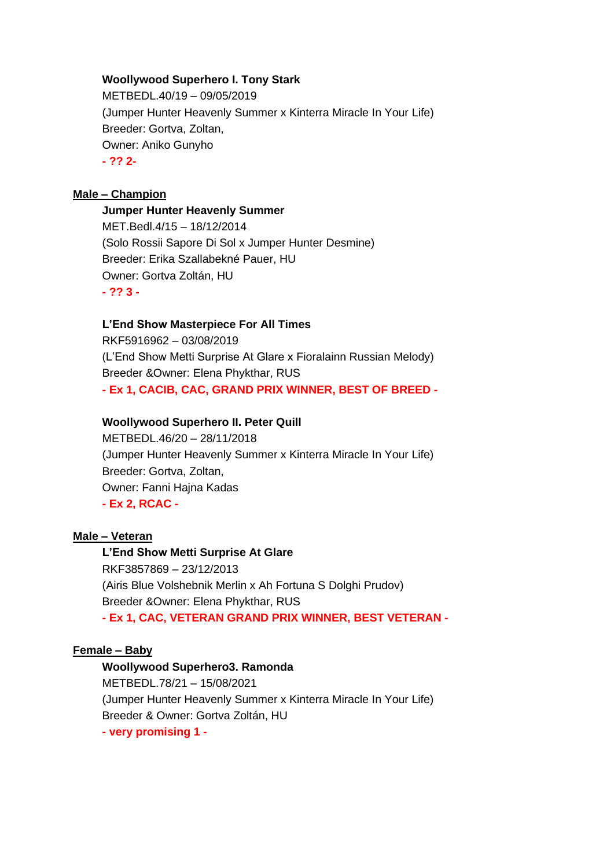## **Woollywood Superhero I. Tony Stark**

METBEDL.40/19 – 09/05/2019 (Jumper Hunter Heavenly Summer x Kinterra Miracle In Your Life) Breeder: Gortva, Zoltan, Owner: Aniko Gunyho **- ?? 2-**

#### **Male – Champion**

#### **Jumper Hunter Heavenly Summer**

MET.Bedl.4/15 – 18/12/2014 (Solo Rossii Sapore Di Sol x Jumper Hunter Desmine) Breeder: Erika Szallabekné Pauer, HU Owner: Gortva Zoltán, HU **- ?? 3 -**

#### **L'End Show Masterpiece For All Times**

RKF5916962 – 03/08/2019 (L'End Show Metti Surprise At Glare x Fioralainn Russian Melody) Breeder &Owner: Elena Phykthar, RUS **- Ex 1, CACIB, CAC, GRAND PRIX WINNER, BEST OF BREED -**

#### **Woollywood Superhero II. Peter Quill**

METBEDL.46/20 – 28/11/2018 (Jumper Hunter Heavenly Summer x Kinterra Miracle In Your Life) Breeder: Gortva, Zoltan, Owner: Fanni Hajna Kadas **- Ex 2, RCAC -**

#### **Male – Veteran**

**L'End Show Metti Surprise At Glare** RKF3857869 – 23/12/2013 (Airis Blue Volshebnik Merlin x Ah Fortuna S Dolghi Prudov) Breeder &Owner: Elena Phykthar, RUS **- Ex 1, CAC, VETERAN GRAND PRIX WINNER, BEST VETERAN -**

#### **Female – Baby**

#### **Woollywood Superhero3. Ramonda**

METBEDL.78/21 – 15/08/2021 (Jumper Hunter Heavenly Summer x Kinterra Miracle In Your Life) Breeder & Owner: Gortva Zoltán, HU **- very promising 1 -**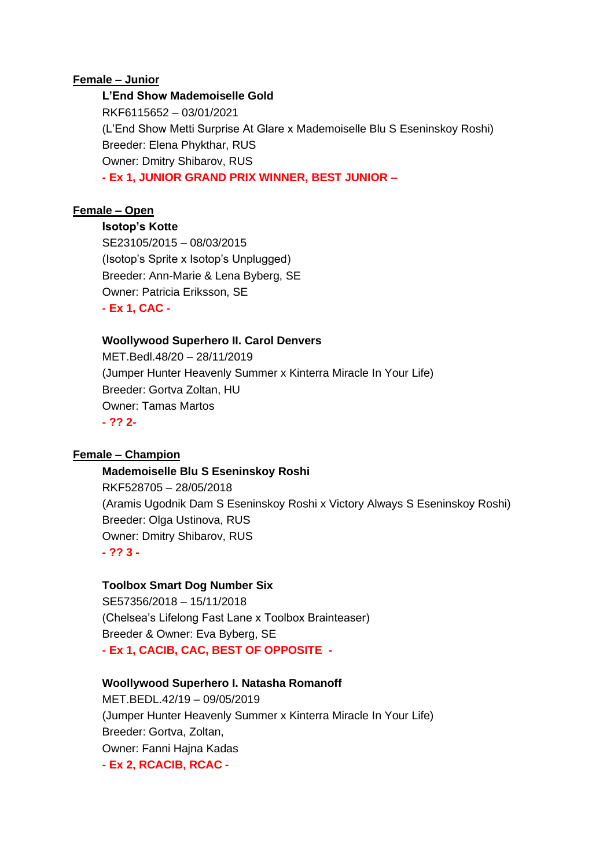## **Female – Junior**

# **L'End Show Mademoiselle Gold** RKF6115652 – 03/01/2021 (L'End Show Metti Surprise At Glare x Mademoiselle Blu S Eseninskoy Roshi) Breeder: Elena Phykthar, RUS Owner: Dmitry Shibarov, RUS **- Ex 1, JUNIOR GRAND PRIX WINNER, BEST JUNIOR –**

# **Female – Open**

**Isotop's Kotte**

SE23105/2015 – 08/03/2015 (Isotop's Sprite x Isotop's Unplugged) Breeder: Ann-Marie & Lena Byberg, SE Owner: Patricia Eriksson, SE **- Ex 1, CAC -**

## **Woollywood Superhero II. Carol Denvers**

MET.Bedl.48/20 – 28/11/2019 (Jumper Hunter Heavenly Summer x Kinterra Miracle In Your Life) Breeder: Gortva Zoltan, HU Owner: Tamas Martos **- ?? 2-**

# **Female – Champion**

## **Mademoiselle Blu S Eseninskoy Roshi**

RKF528705 – 28/05/2018 (Aramis Ugodnik Dam S Eseninskoy Roshi x Victory Always S Eseninskoy Roshi) Breeder: Olga Ustinova, RUS Owner: Dmitry Shibarov, RUS **- ?? 3 -**

## **Toolbox Smart Dog Number Six**

SE57356/2018 – 15/11/2018 (Chelsea's Lifelong Fast Lane x Toolbox Brainteaser) Breeder & Owner: Eva Byberg, SE **- Ex 1, CACIB, CAC, BEST OF OPPOSITE -**

## **Woollywood Superhero I. Natasha Romanoff**

MET.BEDL.42/19 – 09/05/2019 (Jumper Hunter Heavenly Summer x Kinterra Miracle In Your Life) Breeder: Gortva, Zoltan, Owner: Fanni Hajna Kadas **- Ex 2, RCACIB, RCAC -**